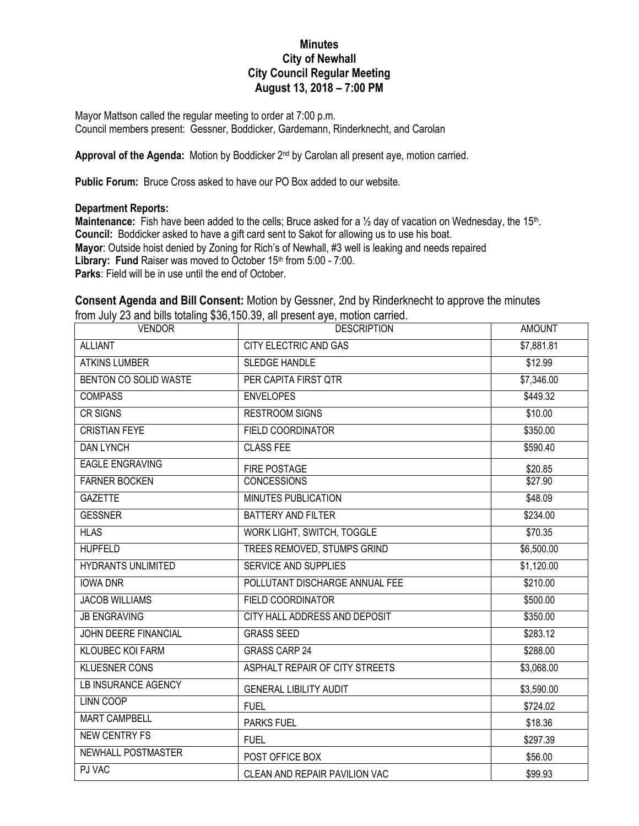## **Minutes City of Newhall City Council Regular Meeting August 13, 2018 – 7:00 PM**

Mayor Mattson called the regular meeting to order at 7:00 p.m. Council members present: Gessner, Boddicker, Gardemann, Rinderknecht, and Carolan

Approval of the Agenda: Motion by Boddicker 2<sup>nd</sup> by Carolan all present aye, motion carried.

**Public Forum:** Bruce Cross asked to have our PO Box added to our website.

## **Department Reports:**

Maintenance: Fish have been added to the cells; Bruce asked for a 1/<sub>2</sub> day of vacation on Wednesday, the 15<sup>th</sup>. **Council:** Boddicker asked to have a gift card sent to Sakot for allowing us to use his boat. **Mayor**: Outside hoist denied by Zoning for Rich's of Newhall, #3 well is leaking and needs repaired Library: Fund Raiser was moved to October 15<sup>th</sup> from 5:00 - 7:00. **Parks**: Field will be in use until the end of October.

## **Consent Agenda and Bill Consent:** Motion by Gessner, 2nd by Rinderknecht to approve the minutes from July 23 and bills totaling \$36,150.39, all present aye, motion carried.

| <b>VENDOR</b>              | <b>DESCRIPTION</b>             | <b>AMOUNT</b> |
|----------------------------|--------------------------------|---------------|
| <b>ALLIANT</b>             | CITY ELECTRIC AND GAS          | \$7,881.81    |
| <b>ATKINS LUMBER</b>       | <b>SLEDGE HANDLE</b>           | \$12.99       |
| BENTON CO SOLID WASTE      | PER CAPITA FIRST QTR           | \$7,346.00    |
| <b>COMPASS</b>             | <b>ENVELOPES</b>               | \$449.32      |
| <b>CR SIGNS</b>            | <b>RESTROOM SIGNS</b>          | \$10.00       |
| <b>CRISTIAN FEYE</b>       | <b>FIELD COORDINATOR</b>       | \$350.00      |
| <b>DAN LYNCH</b>           | <b>CLASS FEE</b>               | \$590.40      |
| <b>EAGLE ENGRAVING</b>     | FIRE POSTAGE                   | \$20.85       |
| <b>FARNER BOCKEN</b>       | <b>CONCESSIONS</b>             | \$27.90       |
| <b>GAZETTE</b>             | <b>MINUTES PUBLICATION</b>     | \$48.09       |
| <b>GESSNER</b>             | <b>BATTERY AND FILTER</b>      | \$234.00      |
| <b>HLAS</b>                | WORK LIGHT, SWITCH, TOGGLE     | \$70.35       |
| <b>HUPFELD</b>             | TREES REMOVED, STUMPS GRIND    | \$6,500.00    |
| <b>HYDRANTS UNLIMITED</b>  | <b>SERVICE AND SUPPLIES</b>    | \$1,120.00    |
| <b>IOWA DNR</b>            | POLLUTANT DISCHARGE ANNUAL FEE | \$210.00      |
| <b>JACOB WILLIAMS</b>      | <b>FIELD COORDINATOR</b>       | \$500.00      |
| <b>JB ENGRAVING</b>        | CITY HALL ADDRESS AND DEPOSIT  | \$350.00      |
| JOHN DEERE FINANCIAL       | <b>GRASS SEED</b>              | \$283.12      |
| <b>KLOUBEC KOI FARM</b>    | <b>GRASS CARP 24</b>           | \$288.00      |
| <b>KLUESNER CONS</b>       | ASPHALT REPAIR OF CITY STREETS | \$3,068.00    |
| <b>LB INSURANCE AGENCY</b> | <b>GENERAL LIBILITY AUDIT</b>  | \$3,590.00    |
| <b>LINN COOP</b>           | <b>FUEL</b>                    | \$724.02      |
| <b>MART CAMPBELL</b>       | <b>PARKS FUEL</b>              | \$18.36       |
| <b>NEW CENTRY FS</b>       | <b>FUEL</b>                    | \$297.39      |
| NEWHALL POSTMASTER         | POST OFFICE BOX                | \$56.00       |
| PJ VAC                     | CLEAN AND REPAIR PAVILION VAC  | \$99.93       |